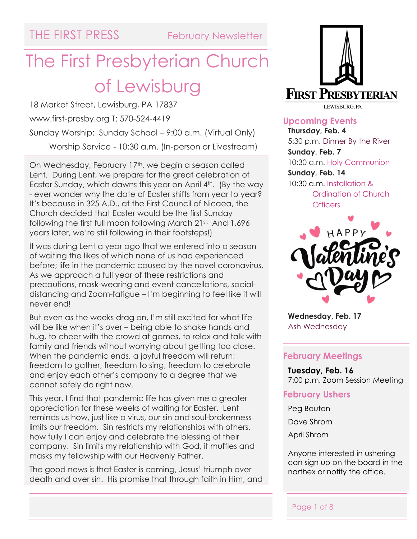# The First Presbyterian Church of Lewisburg

18 Market Street, Lewisburg, PA 17837 www.first-presby.org T: 570-524-4419 Sunday Worship: Sunday School – 9:00 a.m. (Virtual Only) Worship Service - 10:30 a.m. (In-person or Livestream)

On Wednesday, February 17<sup>th</sup>, we begin a season called Lent. During Lent, we prepare for the great celebration of Easter Sunday, which dawns this year on April 4<sup>th</sup>. (By the way - ever wonder why the date of Easter shifts from year to year? It's because in 325 A.D., at the First Council of Nicaea, the Church decided that Easter would be the first Sunday following the first full moon following March 21st. And 1,696 years later, we're still following in their footsteps!)

It was during Lent a year ago that we entered into a season of waiting the likes of which none of us had experienced before; life in the pandemic caused by the novel coronavirus. As we approach a full year of these restrictions and precautions, mask-wearing and event cancellations, socialdistancing and Zoom-fatigue – I'm beginning to feel like it will never end!

But even as the weeks drag on, I'm still excited for what life will be like when it's over – being able to shake hands and hug, to cheer with the crowd at games, to relax and talk with family and friends without worrying about getting too close. When the pandemic ends, a joyful freedom will return; freedom to gather, freedom to sing, freedom to celebrate and enjoy each other's company to a degree that we cannot safely do right now.

This year, I find that pandemic life has given me a greater appreciation for these weeks of waiting for Easter. Lent reminds us how, just like a virus, our sin and soul-brokenness limits our freedom. Sin restricts my relationships with others, how fully I can enjoy and celebrate the blessing of their company. Sin limits my relationship with God, it muffles and masks my fellowship with our Heavenly Father.

The good news is that Easter is coming, Jesus' triumph over death and over sin. His promise that through faith in Him, and



**Upcoming Events Thursday, Feb. 4** 5:30 p.m. Dinner By the River **Sunday, Feb. 7** 10:30 a.m. Holy Communion **Sunday, Feb. 14** 10:30 a.m. Installation & Ordination of Church **Officers** 



**Wednesday, Feb. 17** Ash Wednesday

#### **February Meetings**

**Tuesday, Feb. 16** 7:00 p.m. Zoom Session Meeting

#### **February Ushers**

Peg Bouton

Dave Shrom

April Shrom

Anyone interested in ushering can sign up on the board in the narthex or notify the office.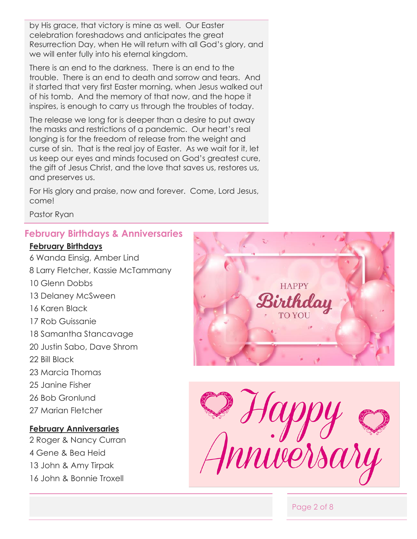by His grace, that victory is mine as well. Our Easter celebration foreshadows and anticipates the great Resurrection Day, when He will return with all God's glory, and we will enter fully into his eternal kingdom.

There is an end to the darkness. There is an end to the trouble. There is an end to death and sorrow and tears. And it started that very first Easter morning, when Jesus walked out of his tomb. And the memory of that now, and the hope it inspires, is enough to carry us through the troubles of today.

The release we long for is deeper than a desire to put away the masks and restrictions of a pandemic. Our heart's real longing is for the freedom of release from the weight and curse of sin. That is the real joy of Easter. As we wait for it, let us keep our eyes and minds focused on God's greatest cure, the gift of Jesus Christ, and the love that saves us, restores us, and preserves us.

For His glory and praise, now and forever. Come, Lord Jesus, come!

Pastor Ryan

#### **February Birthdays & Anniversaries**

#### **February Birthdays**

6 Wanda Einsig, Amber Lind 8 Larry Fletcher, Kassie McTammany 10 Glenn Dobbs 13 Delaney McSween 16 Karen Black 17 Rob Guissanie 18 Samantha Stancavage 20 Justin Sabo, Dave Shrom 22 Bill Black 23 Marcia Thomas 25 Janine Fisher 26 Bob Gronlund 27 Marian Fletcher **February Anniversaries**

## 2 Roger & Nancy Curran 4 Gene & Bea Heid 13 John & Amy Tirpak 16 John & Bonnie Troxell





Page 2 of 8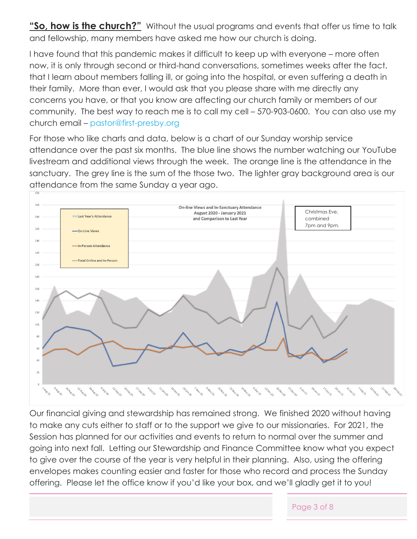**"So, how is the church?"** Without the usual programs and events that offer us time to talk and fellowship, many members have asked me how our church is doing.

I have found that this pandemic makes it difficult to keep up with everyone – more often now, it is only through second or third-hand conversations, sometimes weeks after the fact, that I learn about members falling ill, or going into the hospital, or even suffering a death in their family. More than ever, I would ask that you please share with me directly any concerns you have, or that you know are affecting our church family or members of our community. The best way to reach me is to call my cell – 570-903-0600. You can also use my church email – [pastor@first-presby.org](mailto:pastor@first-presby.org) 

For those who like charts and data, below is a chart of our Sunday worship service attendance over the past six months. The blue line shows the number watching our YouTube livestream and additional views through the week. The orange line is the attendance in the sanctuary. The grey line is the sum of the those two. The lighter gray background area is our attendance from the same Sunday a year ago.



Our financial giving and stewardship has remained strong. We finished 2020 without having to make any cuts either to staff or to the support we give to our missionaries. For 2021, the Session has planned for our activities and events to return to normal over the summer and going into next fall. Letting our Stewardship and Finance Committee know what you expect to give over the course of the year is very helpful in their planning. Also, using the offering envelopes makes counting easier and faster for those who record and process the Sunday offering. Please let the office know if you'd like your box, and we'll gladly get it to you!

#### Page 3 of 8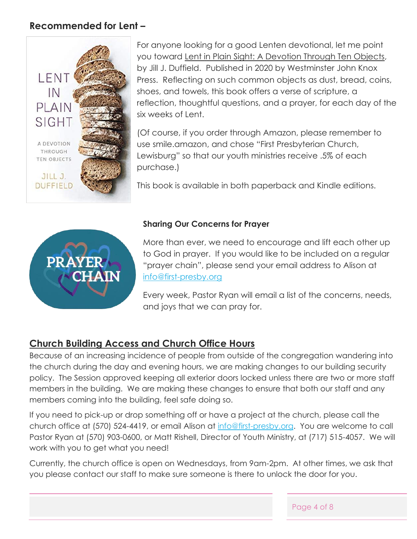### **Recommended for Lent –**



For anyone looking for a good Lenten devotional, let me point you toward Lent in Plain Sight: A Devotion Through Ten Objects, by Jill J. Duffield. Published in 2020 by Westminster John Knox Press. Reflecting on such common objects as dust, bread, coins, shoes, and towels, this book offers a verse of scripture, a reflection, thoughtful questions, and a prayer, for each day of the six weeks of Lent.

(Of course, if you order through Amazon, please remember to use smile.amazon, and chose "First Presbyterian Church, Lewisburg" so that our youth ministries receive .5% of each purchase.)

This book is available in both paperback and Kindle editions.



#### **Sharing Our Concerns for Prayer**

More than ever, we need to encourage and lift each other up to God in prayer. If you would like to be included on a regular "prayer chain", please send your email address to Alison at [info@first-presby.org](mailto:info@first-presby.org)

Every week, Pastor Ryan will email a list of the concerns, needs, and joys that we can pray for.

### **Church Building Access and Church Office Hours**

Because of an increasing incidence of people from outside of the congregation wandering into the church during the day and evening hours, we are making changes to our building security policy. The Session approved keeping all exterior doors locked unless there are two or more staff members in the building. We are making these changes to ensure that both our staff and any members coming into the building, feel safe doing so.

If you need to pick-up or drop something off or have a project at the church, please call the church office at (570) 524-4419, or email Alison at [info@first-presby.org.](mailto:info@first-presby.org) You are welcome to call Pastor Ryan at (570) 903-0600, or Matt Rishell, Director of Youth Ministry, at (717) 515-4057. We will work with you to get what you need!

Currently, the church office is open on Wednesdays, from 9am-2pm. At other times, we ask that you please contact our staff to make sure someone is there to unlock the door for you.

Page 4 of 8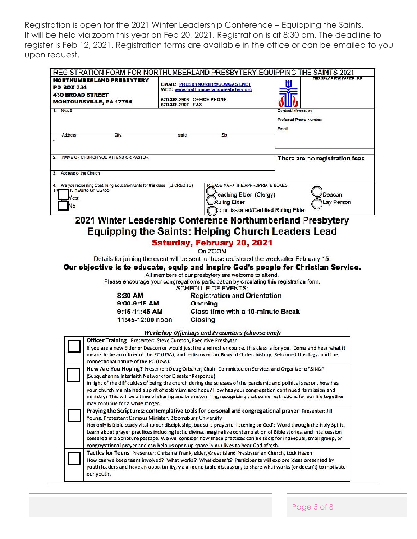Registration is open for the 2021 Winter Leadership Conference – Equipping the Saints. It will be held via zoom this year on Feb 20, 2021. Registration is at 8:30 am. The deadline to register is Feb 12, 2021. Registration forms are available in the office or can be emailed to you upon request.

| REGISTRATION FORM FOR NORTHUMBERLAND PRESBYTERY EQUIPPING THE SAINTS 2021                                                                                                                                                             |                           |                                       |                                 |                           |
|---------------------------------------------------------------------------------------------------------------------------------------------------------------------------------------------------------------------------------------|---------------------------|---------------------------------------|---------------------------------|---------------------------|
| NORTHUMBERLAND PRESBYTERY                                                                                                                                                                                                             |                           | EMAIL: PRESBYNORTH@COMCAST.NET        |                                 | THES SPACE FOR OFFICE USE |
| <b>PO BOX 334</b>                                                                                                                                                                                                                     |                           | WEB: www.northumberlandpreabytery.org |                                 |                           |
| <b>430 BROAD STREET</b>                                                                                                                                                                                                               | 570-368-3906 OFFICE PHONE |                                       |                                 |                           |
| <b>MONTOURSVILLE, PA 17754</b>                                                                                                                                                                                                        | 570-368-3907 FAX          |                                       |                                 |                           |
| 1. NAME<br>Contact information                                                                                                                                                                                                        |                           |                                       |                                 |                           |
|                                                                                                                                                                                                                                       |                           |                                       | Preferred Phone Number:         |                           |
|                                                                                                                                                                                                                                       |                           | Email:                                |                                 |                           |
| Address<br>City.                                                                                                                                                                                                                      | state.                    | Ζp                                    |                                 |                           |
| m.                                                                                                                                                                                                                                    |                           |                                       |                                 |                           |
|                                                                                                                                                                                                                                       |                           |                                       |                                 |                           |
| NAME OF CHURCH YOU ATTEND OR PASTOR.                                                                                                                                                                                                  |                           |                                       | There are no registration fees. |                           |
|                                                                                                                                                                                                                                       |                           |                                       |                                 |                           |
| Address of the Church<br>З.                                                                                                                                                                                                           |                           |                                       |                                 |                           |
| PLEASE MARK THE APPROPRIATE BOXES<br>Are you requesting Continuing Education Units for this class (.3 CREDITS)<br>4.                                                                                                                  |                           |                                       |                                 |                           |
| 10 HOURS OF CLASS                                                                                                                                                                                                                     |                           |                                       |                                 |                           |
| 'es:                                                                                                                                                                                                                                  |                           | Teaching Elder (Clergy)               |                                 | Deacon                    |
| No                                                                                                                                                                                                                                    |                           | Ruling Elder                          |                                 | Lay Person                |
| Tommissioned/Certified Ruling Elder                                                                                                                                                                                                   |                           |                                       |                                 |                           |
| 2021 Winter Leadership Conference Northumberland Presbytery                                                                                                                                                                           |                           |                                       |                                 |                           |
| <b>Equipping the Saints: Helping Church Leaders Lead</b>                                                                                                                                                                              |                           |                                       |                                 |                           |
|                                                                                                                                                                                                                                       |                           |                                       |                                 |                           |
| Saturday, February 20, 2021                                                                                                                                                                                                           |                           |                                       |                                 |                           |
| On ZOOM                                                                                                                                                                                                                               |                           |                                       |                                 |                           |
| Details for joining the event will be sent to those registered the week after February 15.                                                                                                                                            |                           |                                       |                                 |                           |
| Our objective is to educate, equip and inspire God's people for Christian Service.                                                                                                                                                    |                           |                                       |                                 |                           |
| All members of our presbytery are welcome to attend.                                                                                                                                                                                  |                           |                                       |                                 |                           |
| Please encourage your congregation's participation by circulating this registration form.                                                                                                                                             |                           |                                       |                                 |                           |
| SCHEDULE OF EVENTS:                                                                                                                                                                                                                   |                           |                                       |                                 |                           |
| 8:30 AM                                                                                                                                                                                                                               |                           | <b>Registration and Orientation</b>   |                                 |                           |
| 9:00-9:15 AM                                                                                                                                                                                                                          |                           | Opening                               |                                 |                           |
| $9:15-11:45$ AM                                                                                                                                                                                                                       |                           | Class time with a 10-minute Break     |                                 |                           |
| 11:45-12:00 noon                                                                                                                                                                                                                      |                           | Closing                               |                                 |                           |
|                                                                                                                                                                                                                                       |                           |                                       |                                 |                           |
| Workshop Offerings and Presenters (choose one):                                                                                                                                                                                       |                           |                                       |                                 |                           |
| Officer Training Presenter: Steve Cureton, Executive Presbyter                                                                                                                                                                        |                           |                                       |                                 |                           |
| If you are a new Elder or Deacon or would just like a refresher course, this class is for you. Come and hear what it<br>means to be an officer of the PC (USA), and rediscover our Book of Order, history, Reformed theology, and the |                           |                                       |                                 |                           |
| connectional nature of the PC (USA).                                                                                                                                                                                                  |                           |                                       |                                 |                           |
| How Are You Hoping? Presenter: Doug Orbaker, Chair, Committee on Service, and Organizer of SINDR                                                                                                                                      |                           |                                       |                                 |                           |
| (Susquehanna Interfaith Network for Disaster Response)                                                                                                                                                                                |                           |                                       |                                 |                           |
| in light of the difficulties of being the church during the stresses of the pandemic and political season, how has                                                                                                                    |                           |                                       |                                 |                           |
| your church maintained a spirit of optimism and hope? How has your congregation continued its mission and                                                                                                                             |                           |                                       |                                 |                           |
| ministry? This will be a time of sharing and brainstorming, recognizing that some restrictions for our life together                                                                                                                  |                           |                                       |                                 |                           |
| may continue for a while longer.                                                                                                                                                                                                      |                           |                                       |                                 |                           |
| Praying the Scriptures: contemplative tools for personal and congregational prayer Presenter: Jill                                                                                                                                    |                           |                                       |                                 |                           |
| Young, Protestant Campus Minister, Bloomsburg University                                                                                                                                                                              |                           |                                       |                                 |                           |
| Not only is Bible study vital to our discipleship, but so is prayerful listening to God's Word through the Holy Spirit.                                                                                                               |                           |                                       |                                 |                           |
| Learn about prayer practices including lectio divina, imaginative contemplation of Bible stories, and intercession                                                                                                                    |                           |                                       |                                 |                           |
| centered in a Scripture passage. We will consider how these practices can be tools for individual, small group, or                                                                                                                    |                           |                                       |                                 |                           |
| congregational prayer and can help us open up space in our lives to hear God afresh.                                                                                                                                                  |                           |                                       |                                 |                           |
| Tactics for Teens Presenter: Christina Frank, elder, Great Island Presbyterian Church, Lock Haven<br>How can we keep teens involved? What works? What doesn't? Participants will explore ideas presented by                           |                           |                                       |                                 |                           |
| youth leaders and have an opportunity, via a round table discussion, to share what works (or doesn't) to motivate                                                                                                                     |                           |                                       |                                 |                           |
| our youth.                                                                                                                                                                                                                            |                           |                                       |                                 |                           |
|                                                                                                                                                                                                                                       |                           |                                       |                                 |                           |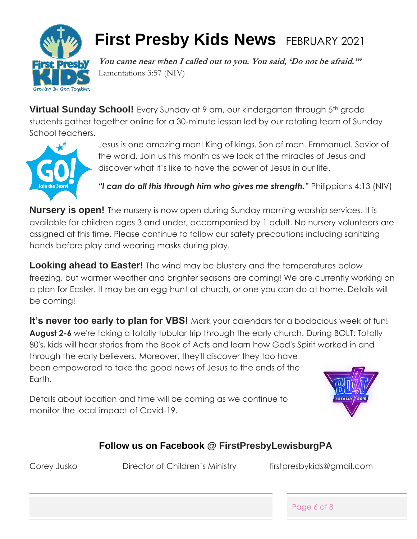

## **First Presby Kids News** FEBRUARY 2021

**You came near when I called out to you. You said, 'Do not be afraid.'"**  Lamentations 3:57 (NIV)

**Virtual Sunday School!** Every Sunday at 9 am, our kindergarten through 5<sup>th</sup> grade students gather together online for a 30-minute lesson led by our rotating team of Sunday School teachers.



Jesus is one amazing man! King of kings. Son of man. Emmanuel. Savior of the world. Join us this month as we look at the miracles of Jesus and discover what it's like to have the power of Jesus in our life.

*"I can do all this through him who gives me strength."* Philippians 4:13 (NIV)

**Nursery is open!** The nursery is now open during Sunday morning worship services. It is available for children ages 3 and under, accompanied by 1 adult. No nursery volunteers are assigned at this time. Please continue to follow our safety precautions including sanitizing hands before play and wearing masks during play.

**Looking ahead to Easter!** The wind may be blustery and the temperatures below freezing, but warmer weather and brighter seasons are coming! We are currently working on a plan for Easter. It may be an egg-hunt at church, or one you can do at home. Details will be coming!

**It's never too early to plan for VBS!** Mark your calendars for a bodacious week of fun! **August 2-6** we're taking a totally tubular trip through the early church. During BOLT: Totally 80's, kids will hear stories from the Book of Acts and learn how God's Spirit worked in and through the early believers. Moreover, they'll discover they too have been empowered to take the good news of Jesus to the ends of the Earth.

Details about location and time will be coming as we continue to monitor the local impact of Covid-19.



## **Follow us on Facebook @ FirstPresbyLewisburgPA**

Corey Jusko Director of Children's Ministry firstpresbykids@gmail.com

Page 6 of 8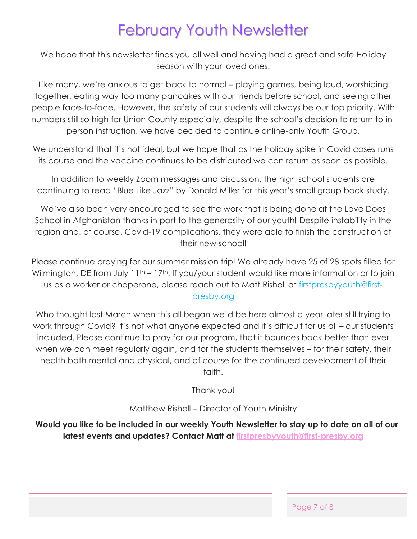## February Youth Newsletter

We hope that this newsletter finds you all well and having had a great and safe Holiday season with your loved ones.

Like many, we're anxious to get back to normal – playing games, being loud, worshiping together, eating way too many pancakes with our friends before school, and seeing other people face-to-face. However, the safety of our students will always be our top priority. With numbers still so high for Union County especially, despite the school's decision to return to inperson instruction, we have decided to continue online-only Youth Group.

We understand that it's not ideal, but we hope that as the holiday spike in Covid cases runs its course and the vaccine continues to be distributed we can return as soon as possible.

In addition to weekly Zoom messages and discussion, the high school students are continuing to read "Blue Like Jazz" by Donald Miller for this year's small group book study.

We've also been very encouraged to see the work that is being done at the Love Does School in Afghanistan thanks in part to the generosity of our youth! Despite instability in the region and, of course, Covid-19 complications, they were able to finish the construction of their new school!

Please continue praying for our summer mission trip! We already have 25 of 28 spots filled for Wilmington, DE from July 11<sup>th</sup> – 17<sup>th</sup>. If you/your student would like more information or to join us as a worker or chaperone, please reach out to Matt Rishell at [firstpresbyyouth@first](mailto:firstpresbyyouth@first-presby.org)[presby.org](mailto:firstpresbyyouth@first-presby.org)

Who thought last March when this all began we'd be here almost a year later still trying to work through Covid? It's not what anyone expected and it's difficult for us all – our students included. Please continue to pray for our program, that it bounces back better than ever when we can meet regularly again, and for the students themselves – for their safety, their health both mental and physical, and of course for the continued development of their faith.

Thank you!

Matthew Rishell – Director of Youth Ministry

**Would you like to be included in our weekly Youth Newsletter to stay up to date on all of our latest events and updates? Contact Matt at [firstpresbyyouth@first-presby.org](mailto:firstpresbyyouth@first-presby.org)**

Page 7 of 8